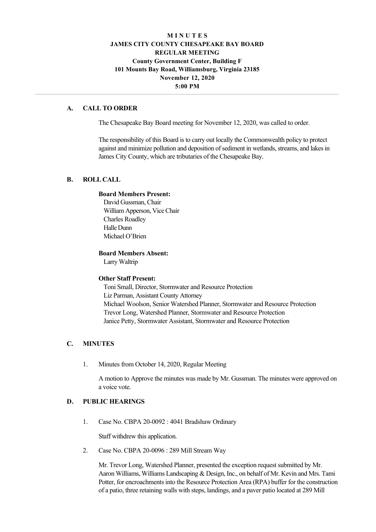# **M I N U T E S JAMES CITY COUNTY CHESAPEAKE BAY BOARD REGULAR MEETING County Government Center, Building F 101 Mounts Bay Road, Williamsburg, Virginia 23185 November 12, 2020 5:00 PM**

### **A. CALL TO ORDER**

The Chesapeake Bay Board meeting for November 12, 2020, was called to order.

The responsibility of this Board is to carry out locally the Commonwealth policy to protect against and minimize pollution and deposition of sediment in wetlands, streams, and lakes in James City County, which are tributaries of the Chesapeake Bay.

## **B. ROLL CALL**

### **Board Members Present:**

David Gussman, Chair William Apperson, Vice Chair Charles Roadley Halle Dunn Michael O'Brien

### **Board Members Absent:**

Larry Waltrip

### **Other Staff Present:**

Toni Small, Director, Stormwater and Resource Protection Liz Parman, Assistant County Attorney Michael Woolson, Senior Watershed Planner, Stormwater and Resource Protection Trevor Long, Watershed Planner, Stormwater and Resource Protection Janice Petty, Stormwater Assistant, Stormwater and Resource Protection

### **C. MINUTES**

1. Minutes from October 14, 2020, Regular Meeting

A motion to Approve the minutes was made by Mr. Gussman. The minutes were approved on a voice vote.

# **D. PUBLIC HEARINGS**

1. Case No. CBPA 20-0092 : 4041 Bradshaw Ordinary

Staff withdrew this application.

2. Case No. CBPA 20-0096 : 289 Mill Stream Way

Mr. Trevor Long, Watershed Planner, presented the exception request submitted by Mr. Aaron Williams, Williams Landscaping & Design, Inc., on behalf of Mr. Kevin and Mrs. Tami Potter, for encroachments into the Resource Protection Area (RPA) buffer for the construction of a patio, three retaining walls with steps, landings, and a paver patio located at 289 Mill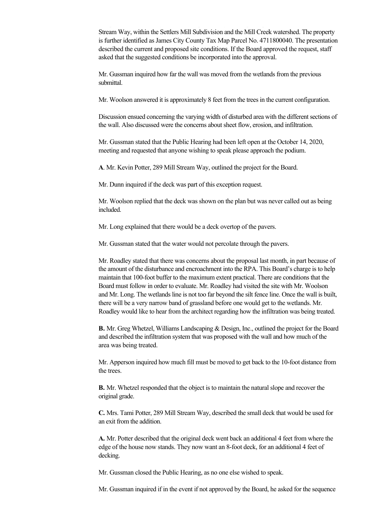Stream Way, within the Settlers Mill Subdivision and the Mill Creek watershed. The property is further identified as James City County Tax Map Parcel No. 4711800040. The presentation described the current and proposed site conditions. If the Board approved the request, staff asked that the suggested conditions be incorporated into the approval.

of a pation, the retaining walls with steps, landings, and a part pation located at 289 Million located at 289 Million located at 289 Million located at 289 Million located at 289 Million located at 289 Million located at

Mr. Gussman inquired how far the wall was moved from the wetlands from the previous submittal.

Mr. Woolson answered it is approximately 8 feet from the trees in the current configuration.

Discussion ensued concerning the varying width of disturbed area with the different sections of the wall. Also discussed were the concerns about sheet flow, erosion, and infiltration.

Mr. Gussman stated that the Public Hearing had been left open at the October 14, 2020, meeting and requested that anyone wishing to speak please approach the podium.

**A**. Mr. Kevin Potter, 289 Mill Stream Way, outlined the project for the Board.

Mr. Dunn inquired if the deck was part of this exception request.

Mr. Woolson replied that the deck was shown on the plan but was never called out as being included.

Mr. Long explained that there would be a deck overtop of the pavers.

Mr. Gussman stated that the water would not percolate through the pavers.

Mr. Roadley stated that there was concerns about the proposal last month, in part because of the amount of the disturbance and encroachment into the RPA. This Board's charge is to help maintain that 100-foot buffer to the maximum extent practical. There are conditions that the Board must follow in order to evaluate. Mr. Roadley had visited the site with Mr. Woolson and Mr. Long. The wetlands line is not too far beyond the silt fence line. Once the wall is built, there will be a very narrow band of grassland before one would get to the wetlands. Mr. Roadley would like to hear from the architect regarding how the infiltration was being treated.

**B.** Mr. Greg Whetzel, Williams Landscaping & Design, Inc., outlined the project for the Board and described the infiltration system that was proposed with the wall and how much of the area was being treated.

Mr. Apperson inquired how much fill must be moved to get back to the 10-foot distance from the trees.

**B.** Mr. Whetzel responded that the object is to maintain the natural slope and recover the original grade.

**C.** Mrs. Tami Potter, 289 Mill Stream Way, described the small deck that would be used for an exit from the addition.

**A.** Mr. Potter described that the original deck went back an additional 4 feet from where the edge of the house now stands. They now want an 8-foot deck, for an additional 4 feet of decking.

Mr. Gussman closed the Public Hearing, as no one else wished to speak.

Mr. Gussman inquired if in the event if not approved by the Board, he asked for the sequence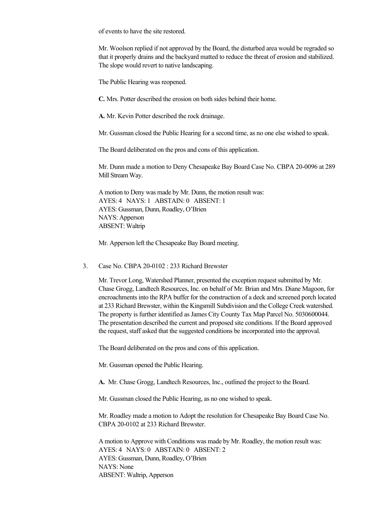of events to have the site restored.

Mr. Woolson replied if not approved by the Board, the disturbed area would be regraded so that it properly drains and the backyard matted to reduce the threat of erosion and stabilized. The slope would revert to native landscaping.

The Public Hearing was reopened.

**C.** Mrs. Potter described the erosion on both sides behind their home.

**A.** Mr. Kevin Potter described the rock drainage.

Mr. Gussman closed the Public Hearing for a second time, as no one else wished to speak.

The Board deliberated on the pros and cons of this application.

Mr. Dunn made a motion to Deny Chesapeake Bay Board Case No. CBPA 20-0096 at 289 Mill Stream Way.

A motion to Deny was made by Mr. Dunn, the motion result was: AYES: 4 NAYS: 1 ABSTAIN: 0 ABSENT: 1 AYES: Gussman, Dunn, Roadley, O'Brien NAYS: Apperson ABSENT: Waltrip

Mr. Apperson left the Chesapeake Bay Board meeting.

3. Case No. CBPA  $20-0102$ : 233 Richard Brewster

Mr. Trevor Long, Watershed Planner, presented the exception request submitted by Mr. Chase Grogg, Landtech Resources, Inc. on behalf of Mr. Brian and Mrs. Diane Magoon, for encroachments into the RPA buffer for the construction of a deck and screened porch located at 233 Richard Brewster, within the Kingsmill Subdivision and the College Creek watershed. The property is further identified as James City County Tax Map Parcel No. 5030600044. The presentation described the current and proposed site conditions. If the Board approved the request, staff asked that the suggested conditions be incorporated into the approval.

The Board deliberated on the pros and cons of this application.

Mr. Gussman opened the Public Hearing.

**A.** Mr. Chase Grogg, Landtech Resources, Inc., outlined the project to the Board.

Mr. Gussman closed the Public Hearing, as no one wished to speak.

Mr. Roadley made a motion to Adopt the resolution for Chesapeake Bay Board Case No. CBPA 20-0102 at 233 Richard Brewster.

A motion to Approve with Conditions was made by Mr. Roadley, the motion result was: AYES: 4 NAYS: 0 ABSTAIN: 0 ABSENT: 2 AYES: Gussman, Dunn, Roadley, O'Brien NAYS: None ABSENT: Waltrip, Apperson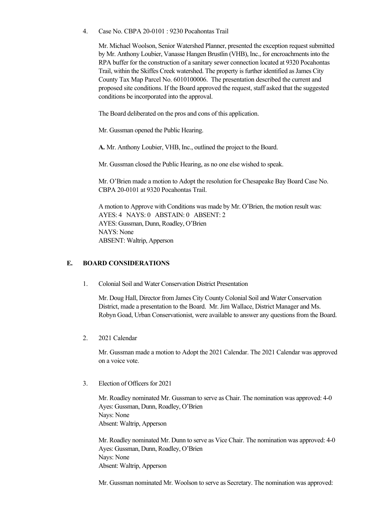4. Case No. CBPA 20-0101 : 9230 Pocahontas Trail

Mr. Michael Woolson, Senior Watershed Planner, presented the exception request submitted by Mr. Anthony Loubier, Vanasse Hangen Brustlin (VHB), Inc., for encroachments into the RPA buffer for the construction of a sanitary sewer connection located at 9320 Pocahontas Trail, within the Skiffes Creek watershed. The property is further identified as James City County Tax Map Parcel No. 6010100006. The presentation described the current and proposed site conditions. If the Board approved the request, staff asked that the suggested conditions be incorporated into the approval.

The Board deliberated on the pros and cons of this application.

Mr. Gussman opened the Public Hearing.

**A.** Mr. Anthony Loubier, VHB, Inc., outlined the project to the Board.

Mr. Gussman closed the Public Hearing, as no one else wished to speak.

Mr. O'Brien made a motion to Adopt the resolution for Chesapeake Bay Board Case No. CBPA 20-0101 at 9320 Pocahontas Trail.

A motion to Approve with Conditions was made by Mr. O'Brien, the motion result was: AYES: 4 NAYS: 0 ABSTAIN: 0 ABSENT: 2 AYES: Gussman, Dunn, Roadley, O'Brien NAYS: None ABSENT: Waltrip, Apperson

# **E. BOARD CONSIDERATIONS**

1. Colonial Soil and Water Conservation District Presentation

Mr. Doug Hall, Director from James City County Colonial Soil and Water Conservation District, made a presentation to the Board. Mr. Jim Wallace, District Manager and Ms. Robyn Goad, Urban Conservationist, were available to answer any questions from the Board.

2. 2021 Calendar

Mr. Gussman made a motion to Adopt the 2021 Calendar. The 2021 Calendar was approved on a voice vote.

3. Election of Officers for 2021

Mr. Roadley nominated Mr. Gussman to serve as Chair. The nomination was approved: 4-0 Ayes: Gussman, Dunn, Roadley, O'Brien Nays: None Absent: Waltrip, Apperson

Mr. Roadley nominated Mr. Dunn to serve as Vice Chair. The nomination was approved: 40 Ayes: Gussman, Dunn, Roadley, O'Brien Nays: None Absent: Waltrip, Apperson

Mr. Gussman nominated Mr. Woolson to serve as Secretary. The nomination was approved: